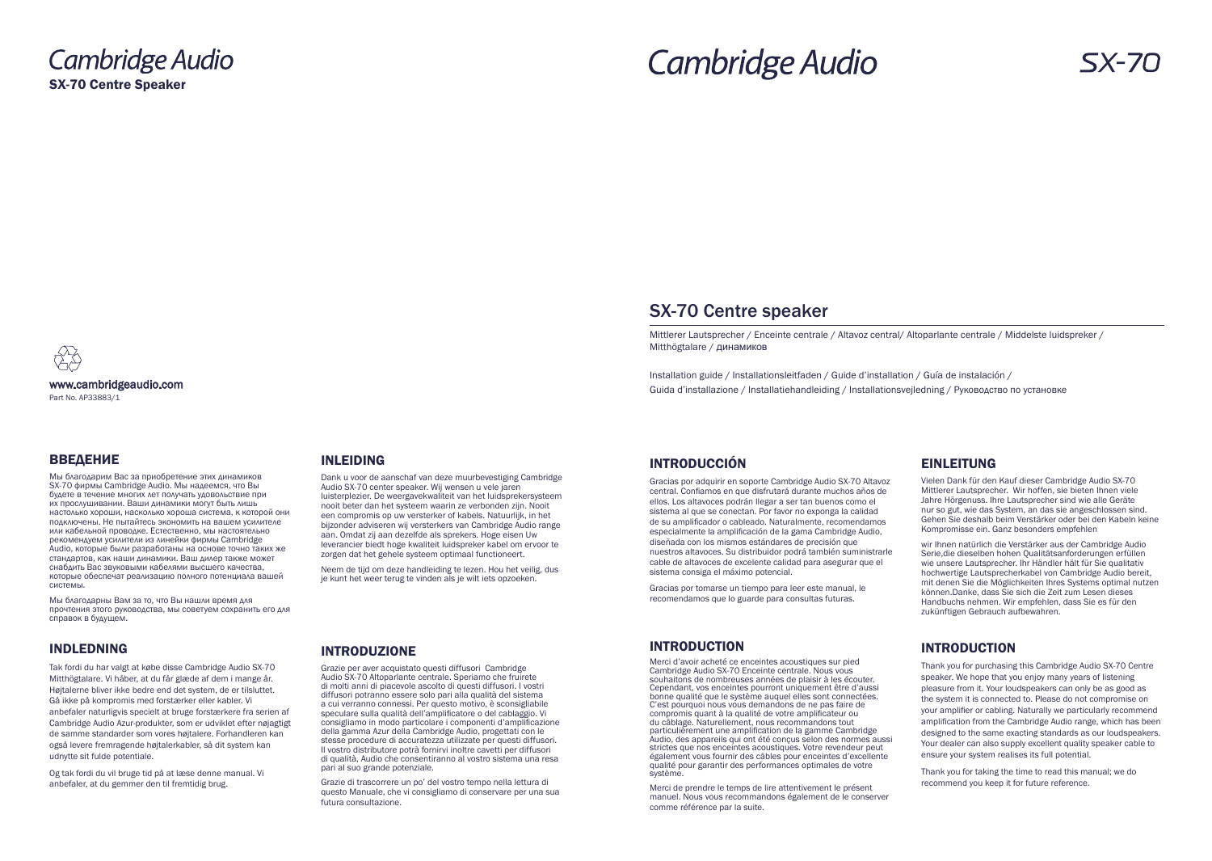Cambridge Audio SX-70 Centre Speaker

# **Cambridge Audio**

www.cambridgeaudio.com Part No. AP33883/1

# INTRODUCTION

Thank you for purchasing this Cambridge Audio SX-70 Centre speaker. We hope that you enjoy many years of listening pleasure from it. Your loudspeakers can only be as good as the system it is connected to. Please do not compromise on your amplifier or cabling. Naturally we particularly recommend amplification from the Cambridge Audio range, which has been designed to the same exacting standards as our loudspeakers. Your dealer can also supply excellent quality speaker cable to ensure your system realises its full potential.

Thank you for taking the time to read this manual; we do recommend you keep it for future reference.

# EINLEITUNG

Vielen Dank für den Kauf dieser Cambridge Audio SX-70 Mittlerer Lautsprecher. Wir hoffen, sie bieten Ihnen viele Jahre Hörgenuss. Ihre Lautsprecher sind wie alle Geräte nur so gut, wie das System, an das sie angeschlossen sind. Gehen Sie deshalb beim Verstärker oder bei den Kabeln keine Kompromisse ein. Ganz besonders empfehlen

wir Ihnen natürlich die Verstärker aus der Cambridge Audio Serie,die dieselben hohen Qualitätsanforderungen erfüllen wie unsere Lautsprecher. Ihr Händler hält für Sie qualitativ hochwertige Lautsprecherkabel von Cambridge Audio bereit, mit denen Sie die Möglichkeiten Ihres Systems optimal nutzen können.Danke, dass Sie sich die Zeit zum Lesen dieses Handbuchs nehmen. Wir empfehlen, dass Sie es für den zukünftigen Gebrauch aufbewahren.

# INTRODUCTION

Merci d'avoir acheté ce enceintes acoustiques sur pied Cambridge Audio SX-70 Enceinte centrale. Nous vous souhaitons de nombreuses années de plaisir à les écouter. Cependant, vos enceintes pourront uniquement être d'aussi bonne qualité que le système auquel elles sont connectées. C'est pourquoi nous vous demandons de ne pas faire de compromis quant à la qualité de votre amplificateur ou du câblage. Naturellement, nous recommandons tout particulièrement une amplification de la gamme Cambridge Audio, des appareils qui ont été conçus selon des normes aussi strictes que nos enceintes acoustiques. Votre revendeur peut également vous fournir des câbles pour enceintes d'excellente qualité pour garantir des performances optimales de votre système.

Merci de prendre le temps de lire attentivement le présent manuel. Nous vous recommandons également de le conserver comme référence par la suite.



# INTRODUCCIÓN

Gracias por adquirir en soporte Cambridge Audio SX-70 Altavoz central. Confiamos en que disfrutará durante muchos años de ellos. Los altavoces podrán llegar a ser tan buenos como el sistema al que se conectan. Por favor no exponga la calidad de su amplificador o cableado. Naturalmente, recomendamos especialmente la amplificación de la gama Cambridge Audio, diseñada con los mismos estándares de precisión que nuestros altavoces. Su distribuidor podrá también suministrarle cable de altavoces de excelente calidad para asegurar que el sistema consiga el máximo potencial.

Gracias por tomarse un tiempo para leer este manual, le recomendamos que lo guarde para consultas futuras.

## INTRODUZIONE

Grazie per aver acquistato questi diffusori Cambridge Audio SX-70 Altoparlante centrale. Speriamo che fruirete di molti anni di piacevole ascolto di questi diffusori. I vostri diffusori potranno essere solo pari alla qualità del sistema a cui verranno connessi. Per questo motivo, è sconsigliabile speculare sulla qualità dell'amplificatore o del cablaggio. Vi consigliamo in modo particolare i componenti d'amplificazione della gamma Azur della Cambridge Audio, progettati con le stesse procedure di accuratezza utilizzate per questi diffusori. Il vostro distributore potrà fornirvi inoltre cavetti per diffusori di qualità, Audio che consentiranno al vostro sistema una resa pari al suo grande potenziale.

Grazie di trascorrere un po' del vostro tempo nella lettura di questo Manuale, che vi consigliamo di conservare per una sua futura consultazione.

## INLEIDING

Dank u voor de aanschaf van deze muurbevestiging Cambridge Audio SX-70 center speaker. Wij wensen u vele jaren luisterplezier. De weergavekwaliteit van het luidsprekersysteem nooit beter dan het systeem waarin ze verbonden zijn. Nooit een compromis op uw versterker of kabels. Natuurlijk, in het bijzonder adviseren wij versterkers van Cambridge Audio range aan. Omdat zij aan dezelfde als sprekers. Hoge eisen Uw leverancier biedt hoge kwaliteit luidspreker kabel om ervoor te zorgen dat het gehele systeem optimaal functioneert.

Neem de tijd om deze handleiding te lezen. Hou het veilig, dus je kunt het weer terug te vinden als je wilt iets opzoeken.

# INDLEDNING

Tak fordi du har valgt at købe disse Cambridge Audio SX-70 Mitthögtalare. Vi håber, at du får glæde af dem i mange år. Højtalerne bliver ikke bedre end det system, de er tilsluttet. Gå ikke på kompromis med forstærker eller kabler. Vi anbefaler naturligvis specielt at bruge forstærkere fra serien af Cambridge Audio Azur-produkter, som er udviklet efter nøjagtigt de samme standarder som vores højtalere. Forhandleren kan også levere fremragende højtalerkabler, så dit system kan udnytte sit fulde potentiale.

Og tak fordi du vil bruge tid på at læse denne manual. Vi anbefaler, at du gemmer den til fremtidig brug.

# ВВЕДЕНИЕ

Мы благодарим Вас за приобретение этих динамиков SX-70 фирмы Cambridge Audio. Мы надеемся, что Вы будете в течение многих лет получать удовольствие при их прослушивании. Ваши динамики могут быть лишь настолько хороши, насколько хороша система, к которой они подключены. Не пытайтесь экономить на вашем усилителе или кабельной проводке. Естественно, мы настоятельно рекомендуем усилители из линейки фирмы Cambridge Audio, которые были разработаны на основе точно таких же стандартов, как наши динамики. Ваш дилер также может снабдить Вас звуковыми кабелями высшего качества, которые обеспечат реализацию полного потенциала вашей системы.

Мы благодарны Вам за то, что Вы нашли время для прочтения этого руководства, мы советуем сохранить его для справок в будущем.

Mittlerer Lautsprecher / Enceinte centrale / Altavoz central/ Altoparlante centrale / Middelste luidspreker / Mitthögtalare / динамиков

Installation guide / Installationsleitfaden / Guide d'installation / Guía de instalación / Guida d'installazione / Installatiehandleiding / Installationsvejledning / Руководство по установке

# SX-70 Centre speaker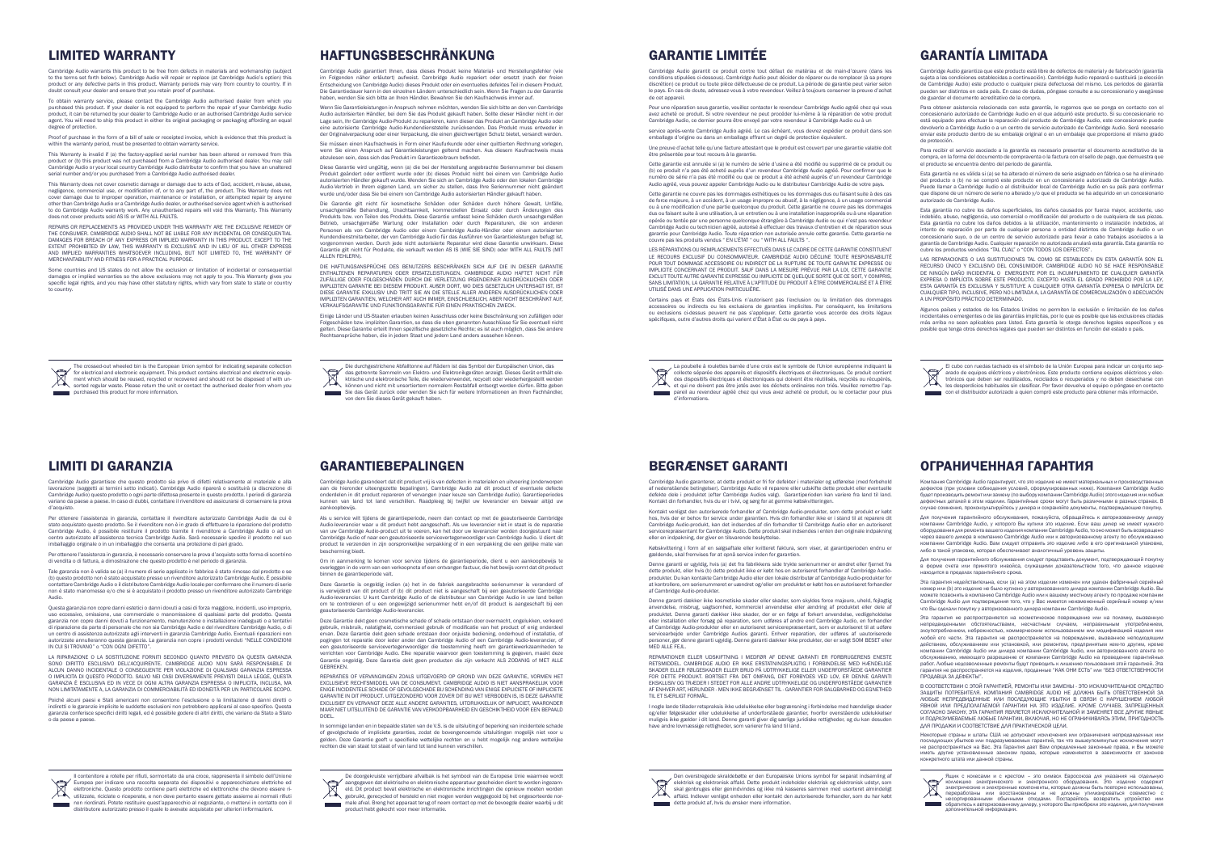Cambridge Audio warrants this product to be free from defects in materials and workmanship (subjection). to the terms set forth below). Cambridge Audio will repair or replace (at Cambridge Audio's option) this product or any defective parts in this product. Warranty periods may vary from country to country. If in doubt consult your dealer and ensure that you retain proof of purchase.

To obtain warranty service, please contact the Cambridge Audio authorised dealer from which you purchased this product. If your dealer is not equipped to perform the repair of your Cambridge Audio<br>product, it can be returned by your dealer to Cambridge Audio or an authorised Cambridge Audio service<br>agent. You will ne degree of protection.

Proof of purchase in the form of a bill of sale or receipted invoice, which is evidence that this product is within the warranty period, must be presented to obtain warranty service.

This Warranty is invalid if (a) the factory-applied serial number has been altered or removed from this product or (b) this product was not purchased from a Cambridge Audio authorised dealer. You may call Cambridge Audio or your local country Cambridge Audio distributor to confirm that you have an unaltered serial number and/or you purchased from a Cambridge Audio authorised dealer.

Some countries and US states do not allow the exclusion or limitation of incidental or conseque damages or implied warranties so the above exclusions may not apply to you. This Warranty gives you specific legal rights, and you may have other statutory rights, which vary from state to state or country to country.

This Warranty does not cover cosmetic damage or damage due to acts of God, accident, misuse, abuse, negligence, commercial use, or modification of, or to any part of, the product. This Warranty does not cover damage due to improper operation, maintenance or installation, or attempted repair by anyone<br>other than Cambridge Audio or a Cambridge Audio dealer, or authorised service agent which is authorised<br>to do Cambridge Aud does not cover products sold AS IS or WITH ALL FAULTS.

service après-vente Cambridge Audio agréé. Le cas échéant, vous devrez expédier ce produit dans son llage d'origine ou dans un emballage offrant un degré de protection

REPAIRS OR REPLACEMENTS AS PROVIDED UNDER THIS WARRANTY ARE THE EXCLUSIVE REMEDY OF THE CONSUMER. CAMBRIDGE AUDIO SHALL NOT BE LIABLE FOR ANY INCIDENTAL OR CONSEQUENTIAL DAMAGES FOR BREACH OF ANY EXPRESS OR IMPLIED WARRANTY IN THIS PRODUCT. EXCEPT TO THE EXTENT PROHIBITED BY LAW, THIS WARRANTY IS EXCLUSIVE AND IN LIEU OF ALL OTHER EXPRESS AND IMPLIED WARRANTIES WHATSOEVER INCLUDING, BUT NOT LIMITED TO, THE WARRANTY OF MERCHANTABILITY AND FITNESS FOR A PRACTICAL PURPOSE.

LES RÉPARATIONS OU REMPLACEMENTS EFFECTUÉS DANS LE CADRE DE CETTE GARANTIE CONSTITUEN LE RECOURS EXCLUSIF DU CONSOMMATEUR. CAMBRIDGE AUDIO DÉCLINE TOUTE RESPONSABILITÉ POUR TOUT DOMMAGE ACCESSOIRE OU INDIRECT DE LA RUPTURE DE TOUTE GARANTIE EXPRESSE OU<br>IMPLICITE CONCERNANT CE PRODUIT. SAUF DANS LA MESURE PRÉVUE PAR LA LOI, CETTE GARANTIE<br>EXCLUT TOUTE AUTRE GARANTIE EXPRESSE OU IMPLICITE SANS LIMITATION, LA GARANTIE RELATIVE À L'APTITUDE DU PRODUIT À ÊTRE COMMERCIALISÉ ET À ÊTRE UTILISÉ DANS UNE APPLICATION PARTICULIÈRE.

Cambridge Audio garantit ce produit contre tout défaut de matériau et de main-d'œuvre (dans les conditions stipulées ci-dessous). Cambridge Audio peut décider de réparer ou de remplacer (à sa propre discrétion) ce produit ou toute pièce défectueuse de ce produit. La période de garantie peut varier selon e pays. En cas de doute, adressez-vous à votre revendeur. Veillez à toujours conserver la preuve d'achat de cet appareil.

Pour une réparation sous garantie, veuillez contacter le revendeur Cambridge Audio agréé chez qui vous avez acheté ce produit. Si votre revendeur ne peut procéder lui-même à la réparation de votre produit Cambridge Audio, ce dernier pourra être envoyé par votre revendeur à Cambridge Audio ou à un

Une preuve d'achat telle qu'une facture attestant que le produit est couvert par une garantie valable doit être présentée pour tout recours à la garantie.

Cette garantie est annulée si (a) le numéro de série d'usine a été modifié ou supprimé de ce produit ou (b) ce produit n'a pas été acheté auprès d'un revendeur Cambridge Audio agréé. Pour confirmer que le numéro de série n'a pas été modifié ou que ce produit a été acheté auprès d'un revendeur Cambridge Audio agréé, vous pouvez appeler Cambridge Audio ou le distributeur Cambridge Audio de votre pays.

REPARATIONER ELLER UDSKIFTNING I MEDFØR AF DENNE GARANTI ER FORBRUGERENS ENESTE<br>RETSMIDDEL CAMBRIDGE AUDIO ER IKKE ERSTATNINGSPLIGTIG I FORBINDELSE MED HÆNDELIGE SKADER ELLER FØLGESKADER ELLER BRUD PÅ UDTRYKKELIGE ELLER UNDERFORSTÅEDE GARANTIER FOR DETTE PRODUKT. BORTSET FRA DET OMFANG, DET FORBYDES VED LOV, ER DENNE GARANTI EKSKLUSIV OG TRÆDER I STEDET FOR ALLE ANDRE UDTRYKKELIGE OG UNDERFORSTÅEDE GARANTIER AF ENHVER ART, HERUNDER - MEN IKKE BEGRÆNSET TIL - GARANTIER FOR SALGBARHED OG EGNETHED TIL ET SÆRLIGT FORMÅL.

Cette garantie ne couvre pas les dommages esthétiques ou les dommages dus ou faisant suite à des cas de force majeure, à un accident, à un usage impropre ou abusif, à la négligence, à un usage commercial ou à une modification d'une partie quelconque du produit. Cette garantie ne couvre pas les dommages dus ou faisant suite à une utilisation, à un entretien ou à une installation inappropriés ou à une réparation opérée ou tentée par une personne quelconque étrangère à Cambridge Audio ou qui n'est pas revendeur<br>Cambridge Audio ou technicien agréé, autorisé à effectuer des travaux d'entretien et de réparation sous<br>garantie pour Camb couvre pas les produits vendus " EN L'ÉTAT " ou " WITH ALL FAULTS ".

> ния Cambridge Audio гарантирует, что это изделие не имеет матер дефектов (при условии соблюдения условий, сформулированных ниже). Компания Cambridge Audio будет производить ремонт или замену (по выбору компании Cambridge Audio) этого изделия или любых дефектных деталей в этом изделии. Гарантийные сроки могут быть различными в разных странах. В случае сомнения, проконсультируйтесь у дилера и сохраняйте документы, подтверждающие покупку.

> Для получения гарантийного обслуживания, пожалуйста, обращайтесь к авторизованному дилеру компании Cambridge Audio, у которого Вы купили это изделие. Если ваш дилер не имеет нужного<br>оборудования,для ремонта вашего изделия компании Cambridge Audio, то оно может быть возвращено<br>через вашего дилера в компанию Cam компании Cambridge Audio. Вам следует отправить это изделие либо в его оригинальной упаковке, либо в такой упаковке, которая обеспечивает аналогичный уровень защиты.

> Для получения гарантийного обслуживания следует представить документ, подтверждающий покупку в форме счета или принятого инвойса, служащими доказательством того, что данное изделие .<br>» ится в пределах гарантийного срока.

Certains pays et États des États-Unis n'autorisent pas l'exclusion ou la limitation des dommages accessoires ou indirects ou les exclusions de garanties implicites. Par conséquent, les limitations ou exclusions ci-dessus peuvent ne pas s'appliquer. Cette garantie vous accorde des droits légaux spécifiques, outre d'autres droits qui varient d'État à État ou de pays à pays.

Cambridge Audio garanterer, at dette produkt er fri for defekter i materialer og udførelse (med forbehold af nedenstående betingelser). Cambridge Audio vil reparere eller udskifte dette produkt eller eventuelle defekte dele i produktet (efter Cambridge Audios valg). Garantiperioden kan variere fra land til land. Kontakt din forhandler, hvis du er i tvivl, og sørg for at gemme købskvitteringen.

> Некоторые страны и штаты США не допускают исключения или ограничения непредвиденных или<br>последующих убытков или подразумеваемых гарантий, так что вышеупомянутые исключения могут<br>не распространяться на Вас. Эта Гарантия да конкретного штата или данной страны.



Kontakt venligst den autoriserede forhandler af Cambridge Audio-produkter, som dette produkt er købt hos, hvis der er behov for service under garantien. Hvis din forhandler ikke er i stand til at reparere dit<br>Cambridge Audio-produkt, kan det indsendes af din forhandler til Cambridge Audio eller en autoriseret<br>servicerepræ eller en indpakning, der giver en tilsvarende beskyttelse.

Købskvittering i form af en salgsaftale eller kvitteret faktura, som viser, at garantiperioden endnu er gældende, skal fremvises for at opnå service inden for garantien.

Esta garantía no es válida si (a) se ha alterado el número de serie asignado en fábrica o se ha eliminado<br>del producto o (b) no se compró este producto en un concesionario autorizado de Cambridge Audio.<br>Puede llamar a Camb que dispone de un número de serie no alterado y/o que el producto se ha adquirido en un concesionario autorizado de Cambridge Audio.

Denne garanti er ugyldig, hvis (a) det fra fabrikkens side trykte serienummer er ændret eller fjernet fra dette produkt, eller hvis (b) dette produkt ikke er købt hos en autoriseret forhandler af Cambridge Audioprodukter. Du kan kontakte Cambridge Audio eller den lokale distributør af Cambridge Audio-produkter for at kontrollere, om serienummeret er uændret og/eller om produktet er købt hos en autoriseret forhandler af Cambridge Audio-produkter.

Denne garanti dækker ikke kosmetiske skader eller skader, som skyldes force majeure, uheld, fejlagtig anvendelse, misbrug, uagtsomhed, kommerciel anvendelse eller ændring af produktet eller dele af produktet. Denne garanti dækker ikke skader, der er en følge af forkert anvendelse, vedligeholdelse eller installation eller forsøg på reparation, som udføres af andre end Cambridge Audio, en forhandler af Cambridge Audio-produkter eller en autoriseret servicerepræsentant, som er autoriseret til at udføre<br>servicearbejde under Cambridge Audios garanti. Enhver reparation, der udføres af uautoriserede<br>personer, gør MED ALLE FEJL.

Cambridge Audio garantisce che questo prodotto sia privo di difetti relativamente al materiale e alla lavorazione (soggetti ai termini sotto indicati). Cambridge Audio riparerà o sostituirà (a discrezione di Cambridge Audio) questo prodotto o ogni parte difettosa presente in questo prodotto. I periodi di garanzia<br>variano da paese a paese. In caso di dubbi, contattare il rivenditore ed assicurarsi di conservare la prova<br>d'acqui

Per ottenere l'assistenza in garanzia, contattare il rivenditore autorizzato Cambridge Audio da cui è<br>stato acquistato questo prodotto. Se il rivenditore non è in grado di effettuare la riparazione del prodotto<br>Cambridge A centro autorizzato all'assistenza tecnica Cambridge Audio. Sarà necessario spedire il prodotto nel suo imballaggio originale o in un imballaggio che consenta una protezione di pari grado.

> I nogle lande tillader retspraksis ikke udelukkelse eller begrænsning i forbindelse med hændelige skader og/eller følgeskader eller udelukkelse af underforståede garantier, hvorfor ovenstående udelukkelser muligvis ikke gælder i dit land. Denne garanti giver dig særlige juridiske rettigheder, og du kan desuden have andre lovmæssige rettigheder, som varierer fra land til land.

Questa garanzia non copre danni estetici o danni dovuti a casi di forza maggiore, incidenti, uso impropri uso eccessivo, omissione, uso commerciale o manomissione di qualsiasi parte del prodotto. Questa garanzia non copre danni dovuti a funzionamento, manutenzione o installazione inadeguati o a tentativi di riparazione da parte di personale che non sia Cambridge Audio o del rivenditore Cambridge Audio, o di un centro di assistenza autorizzato agli interventi in garanzia Cambridge Audio. Eventuali riparazioni non autorizzate annulleranno questa garanzia. La garanzia non copre i prodotti venduti "NELLE CONDIZIONI IN CUI SI TROVANO" o "CON OGNI DIFETTO".

Als u service wilt tijdens de garantieperiode, neem dan contact op met de geautoriseerde Cambridge<br>Audio-leverancier waar u dit product hebt aangeschaft. Als uw leverancier niet in staat is de reparatie<br>van uw Cambridge Au Cambridge Audio of naar een geautoriseerde servicevertegenwoordiger van Cambridge Audio. U dient dit product te verzenden in zijn oorspronkelijke verpakking of in een verpakking die een gelijke mate van bescherming biedt.

Deze Garantie dekt geen cosmetische schade of schade ontstaan door overmacht, ongelukken, verkeerd gebruik, misbruik, nalatigheid, commercieel gebruik of modificatie van het product of enig onderdeel<br>ervan. Deze Garantie dekt geen schade ontstaan door onjuiste bediening, onderhoud of installatie, of<br>pogingen tot reparat een geautoriseerde servicevertegenwoordiger die toestemming heeft om garantiewerkzaamheden te<br>verrichten voor Cambridge Audio. Elke reparatie waarvoor geen toestemming is gegeven, maakt deze<br>Garantie ongeldig. Deze Garanti **GEBREKEN** 

Эта гарантия недействительна, если (a) на этом изделии изменен или удален фабричный серийный номер или (b) это изделие не было куплено у авторизованного дилера компании Cambridge Audio. Вы можете позвонить в компанию Cambridge Audio или к вашему местному агенту по продаже компании<br>Cambridge Audio для подтверждения того, что у Вас имеется неизмененный серийный номер и/или Cambridge Audio для подтверждения того, что у Вас имеется неизмененный серийный номер и/или что Вы сделали покупку у авторизованного дилера компании Cambridge Audio.

REPARATIES OF VERVANGINGEN ZOALS UITGEVOERD OP GROND VAN DEZE GARANTIE, VORMEN HET EXCLUSIEVE RECHTSMIDDEL VAN DE CONSUMENT. CAMBRIDGE AUDIO IS NIET AANSPRAKELIJK VOOR ENIGE INCIDENTELE SCHADE OF GEVOLGSCHADE BIJ SCHENDING VAN ENIGE EXPLICIETE OF IMPLICIETE GARANTIE IN DIT PRODUCT. UITGEZONDERD VOOR ZOVER DIT BIJ WET VERBODEN IS, IS DEZE GARANTIE EXCLUSIEF EN VERVANGT DEZE ALLE ANDERE GARANTIES, UITDRUKKELIJK OF IMPLICIET, WAARONDER MAAR NIET UITSLUITEND DE GARANTIE VAN VERKOOPBAARHEID EN GESCHIKTHEID VOOR EEN BEPAALD DOEL.

Эта гарантия не распространяется на косметическое повреждение или на поломку, вызванную непредвиденными обстоятельствами, несчастным случаем, неправильным употреблением, злоупотреблением, небрежностью, коммерческим использованием или модификацией изделия или любой его части. Эта гарантия не распространяется на повреждение, вызванное неподходящим действием, обслуживанием или установкой, или ремонтом, предпринятым кем-то другим, кроме компании Cambridge Audio или дилера компании Cambridge Audio, или авторизованного агента по обслуживанию, имеющего разрешение от компании Cambridge Audio на проведение гарантийных работ. Любые недозволенные ремонты будут приводить к лишению пользования этой гарантией. Эта гарантия не распространяется на изделия, проданные "КАК ОНИ ЕСТЬ" или "БЕЗ ОТВЕТСТВЕННОСТИ ПРОДАВЦА ЗА ДЕФЕКТЫ".

Diese Garantie wird ungültig, wenn (a) die bei der Herstellung angebrachte Seriennummer bei diesem Produkt geändert oder entfernt wurde oder (b) dieses Produkt nicht bei einem von Cambridge Audio autorisierten Händler gekauft wurde. Wenden Sie sich an Cambridge Audio oder den lokalen Cambridge Audio-Vertrieb in Ihrem eigenen Land, um sicher zu stellen, dass Ihre Seriennummer nicht geändert wurde und/oder dass Sie bei einem von Cambridge Audio autorisierten Händler gekauft haben.

> В СООТВЕТСТВИИ С ЭТОЙ ГАРАНТИЕЙ, РЕМОНТЫ ИЛИ ЗАМЕНЫ - ЭТО ИСКЛЮЧИТЕЛЬНОЕ СРЕДСТВО ЗАЩИТЫ ПОТРЕБИТЕЛЯ. КОМПАНИЯ CAMBRIDGE AUDIO НЕ ДОЛЖНА БЫТЬ ОТВЕТСТВЕННОЙ ЗА ЛЮБЫЕ НЕПРЕДВИДЕННЫЕ ИЛИ ПОСЛЕДУЮЩИЕ УБЫТКИ В СВЯЗИ С НАРУШЕНИЕМ ЛЮБОЙ ЯВНОЙ ИЛИ ПРЕДПОЛАГАЕМОЙ ГАРАНТИИ НА ЭТО ИЗДЕЛИЕ. КРОМЕ СЛУЧАЕВ, ЗАПРЕЩЕННЫХ СОГЛАСНО ЗАКОНУ, ЭТА ГАРАНТИЯ ЯВЛЯЕТСЯ ИСКЛЮЧИТЕЛЬНОЙ И ЗАМЕНЯЕТ ВСЕ ДРУГИЕ ЯВНЫЕ И ПОДРАЗУМЕВАЕМЫЕ ЛЮБЫЕ ГАРАНТИИ, ВКЛЮЧАЯ, НО НЕ ОГРАНИЧИВАЯСЬ ЭТИМ, ПРИГОДНОСТЬ ДЛЯ ПРОДАЖИ И СООТВЕТСТВИЕ ДЛЯ ПРАКТИЧЕСКОЙ ЦЕЛИ.

Die Garantie gilt nicht für kosmetische Schäden oder Schäden durch höhere Gewalt, Unfälle, unsachgemäße Behandlung, Unachtsamkeit, kommerziellen Einsatz oder durch Änderungen des Produkts bzw. von Teilen des Produkts. Diese Garantie umfasst keine Schäden durch unsachgemäßen Betrieb, unsachgemäße Wartung oder Installation oder durch Reparaturen, die von anderen<br>Personen als von Cambridge Audio oder einem Cambridge Audio-Händler oder einem autorisierten Kundendienstmitarbeiter, der von Cambridge Audio für das Ausführen von Garantieleistungen befugt ist,<br>vorgenommen werden. Durch jede nicht autorisierte Reparatur wird diese Garantie unwirksam. Diese<br>Garantie gilt nicht für

Einige Länder und US-Staaten erlauben keinen Ausschluss oder keine Beschränkung von zufälligen oder Folgeschäden bzw. impliziten Garantien, so dass die oben genannten Ausschlüsse für Sie eventuell nicht<br>gelten. Diese Garantie erteilt Ihnen spezifische gesetzliche Rechte; es ist auch möglich, dass Sie andere<br>Rechtsansprüc

Die durchgestrichene Abfalltonne auf Rädern ist das Symbol der Europäischen Union, das<br>
Abfasse getrennte Sammeln von Elektro- und Elektronikgeräten anzeigt. Dieses Gerät enthält et<br>
Abfassche und elektronische Teile, die das getrennte Sammeln von Elektro- und Elektronikgeräten anzeigt. Dieses Gerät enthält ele-<br>ktrische und elektronische Teile, die wiederverwendet, recycelt oder wiederhergestellt werden<br>können und nicht mit unsortiertem no

Sie das Gerät zurück oder wenden Sie sich für weitere Informationen an Ihren Fachhändler,

Cambridge Audio garantiza que este producto está libre de defectos de material y de fabricación (garantía sujeta a las condiciones establecidas a continuación). Cambridge Audio reparará o sustituirá (a elección de Cambridge Audio) este producto o cualquier pieza defectuosa del mismo. Los periodos de garantía pueden ser distintos en cada país. En caso de dudas, póngase consulte a su concesionario y asegúrese de guardar el documento acreditativo de la compra.

Para obtener asistencia relacionada con esta garantía, le rogamos que se ponga en contacto con el concesionario autorizado de Cambridge Audio en el que adquirió este producto. Si su concesionario no está equipado para efectuar la reparación del producto de Cambridge Audio, este concesionario puede devolverlo a Cambridge Audio o a un centro de servicio autorizado de Cambridge Audio. Será necesario enviar este producto dentro de su embalaje original o en un embalaje que proporcione el mismo grado de protección.

Para recibir el servicio asociado a la garantía es necesario presentar el documento acreditativo de la compra, en la forma del documento de compraventa o la factura con el sello de pago, que demuestra que el producto se encuentra dentro del periodo de garantía.

Esta garantía no cubre los daños superficiales, los daños causados por fuerza mayor, accidente, uso indebido, abuso, negligencia, uso comercial o modificación del producto o de cualquiera de sus piezas.<br>Esta garantía no cubre los daños debidos a la utilización, mantenimiento o instalación indebidos, al<br>intento de reparac concesionario suyo, o de un centro de servicio autorizado para llevar a cabo trabajos asociados a la garantía de Cambridge Audio. Cualquier reparación no autorizada anulará esta garantía. Esta garantía no cubre los productos vendidos "TAL CUAL" o "CON TODOS LOS DEFECTOS".

LAS REPARACIONES O LAS SUSTITUCIONES TAL COMO SE ESTABLECEN EN ESTA GARANTÍA SON EL RECURSO ÚNICO Y EXCLUSIVO DEL CONSUMIDOR. CAMBRIDGE AUDIO NO SE HACE RESPONSABLE<br>DE NINGÚN DAÑO INCIDENTAL O EMERGENTE POR EL INCUMPLIMIENTO DE CUALQUIER GARANTÍA EXPRESA O IMPLÍCITA SOBRE ESTE PRODUCTO. EXCEPTO HASTA EL GRADO PROHIBIDO POR LA LEY, ESTA GARANTÍA ES EXCLUSIVA Y SUSTITUYE A CUALQUIER OTRA GARANTÍA EXPRESA O IMPLÍCITA DE CUALQUIER TIPO, INCLUSIVE, PERO NO LIMITADA A, LA GARANTÍA DE COMERCIALIZACIÓN O ADECUACIÓN A UN PROPÓSITO PRÁCTICO DETERMINADO.

Algunos países y estados de los Estados Unidos no permiten la exclusión o limitación de los daños incidentales o emergentes o de las garantías implícitas, por lo que es posible que las exclusiones citadas más arriba no sean aplicables para Usted. Esta garantía le otorga derechos legales específicos y es posible que tenga otros derechos legales que pueden ser distintos en función del estado o país.



Per ottenere l'assistenza in garanzia, è necessario conservare la prova d'acquisto sotto forma di scontrino di vendita o di fattura, a dimostrazione che questo prodotto è nel periodo di garanzia.

Tale garanzia non è valida se (a) il numero di serie applicato in fabbrica è stato rimosso dal prodotto o se (b) questo prodotto non è stato acquistato presso un rivenditore autorizzato Cambridge Audio. È possibile contattare Cambridge Audio o il distributore Cambridge Audio locale per confermare che il numero di serie non è stato manomesso e/o che si è acquistato il prodotto presso un rivenditore autorizzato Cambridge Audio.

LA RIPARAZIONE O LA SOSTITUZIONE FORNITI SECONDO QUANTO PREVISTO DA QUESTA GARANZIA LA RIPARAZIONE O LA SOSTITUZIONE FORNITI SECONDO QUANTO PREVISTO DA QUESTA GARANZIA<br>SONO DIRITTO ESCLUSIVO DELL'ACQUIRENTE. CAMBRIDGE AUDIO NON SARÀ RESPONSABILE DI ALCUN DANNO INCIDENTALE O CONSEGUENTE PER VIOLAZIONE DI QUALSIASI GARANZIA ESPRESSA O IMPLICITA DI QUESTO PRODOTTO. SALVO NEI CASI DIVERSAMENTE PREVISTI DALLA LEGGE, QUESTA<br>GARANZIA È ESCLUSIVA ED IN VECE DI OGNI ALTRA GARANZIA ESPRESSA O IMPLICITA. INCLUSA. MA NON LIMITATAMENTE A, LA GARANZIA DI COMMERCIABILITÀ ED IDONEITÀ PER UN PARTICOLARE SCOPO.

Poiché alcuni paesi e Stati americani non consentono l'esclusione o la limitazione di danni diretti o indiretti o le garanzie implicite le suddette esclusioni non potrebbero applicarsi al caso specifico. Questa garanzia conferisce specifici diritti legali, ed è possibile godere di altri diritti, che variano da Stato a Stato o da paese a paese.

Cambridge Audio garandeert dat dit product vrij is van defecten in materialen en uitvoering (onderworpen aan de hieronder uiteengezette bepalingen). Cambridge Audio zal dit product of eventuele defecte onderdelen in dit product repareren of vervangen (naar keuze van Cambridge Audio). Garantieperiodes kunnen van land tot land verschillen. Raadpleeg bij twijfel uw leverancier en bewaar altijd uw aankoopbewijs.

Om in aanmerking te komen voor service tijdens de garantieperiode, dient u een aankoopbewijs te overleggen in de vorm van een verkoopnota of een ontvangen factuur, die het bewijs vormt dat dit product binnen de garantieperiode valt.

Deze Garantie is ongeldig indien (a) het in de fabriek aangebrachte serienummer is veranderd of is verwijderd van dit product of (b) dit product niet is aangeschaft bij een geautoriseerde Cambridge Audio-leverancier. U kunt Cambridge Audio of de distributeur van Cambridge Audio in uw land bellen om te controleren of u een ongewijzigd serienummer hebt en/of dit product is aangeschaft bij een geautoriseerde Cambridge Audio-leverancier.

In sommige landen en in bepaalde staten van de V.S. is de uitsluiting of beperking van incidentele schade of gevolgschade of impliciete garanties, zodat de bovengenoemde uitsluitingen mogelijk niet voor u gelden. Deze Garantie geeft u specifieke wettelijke rechten en u hebt mogelijk nog andere wettelijke rechten die van staat tot staat of van land tot land kunnen verschillen.

Cambridge Audio garantiert Ihnen, dass dieses Produkt keine Material- und Herstellungsfehler (wie im Folgenden näher erläutert) aufweist. Cambridge Audio repariert oder ersetzt (nach der freien Entscheidung von Cambridge Audio) dieses Produkt oder ein eventuelles defektes Teil in diesem Produkt. Die Garantiedauer kann in den einzelnen Ländern unterschiedlich sein. Wenn Sie Fragen zu der Garantie haben, wenden Sie sich bitte an Ihren Händler. Bewahren Sie den Kaufnachweis immer auf.

Wenn Sie Garantieleistungen in Anspruch nehmen möchten, wenden Sie sich bitte an den von Cambridge isierten Händler, bei dem Sie das Produkt gekauft haben. Sollte dieser Händler nicht in de Lage sein, Ihr Cambridge Audio-Produkt zu reparieren, kann dieser das Produkt an Cambridge Audio oder eine autorisierte Cambridge Audio-Kundendienststelle zurücksenden. Das Produkt muss entweder in der Originalverpackung oder einer Verpackung, die einen gleichwertigen Schutz bietet, versandt werden.

Sie müssen einen Kaufnachweis in Form einer Kaufurkunde oder einer quittierten Rechnung vorlegen, wenn Sie einen Anspruch auf Garantieleistungen geltend machen. Aus diesem Kaufnachweis muss abzulesen sein, dass sich das Produkt im Garantiezeitraum befindet.

DIE HAFTUNGSANSPRÜCHE DES BENUTZERS BESCHRÄNKEN SICH AUF DIE IN DIESER GARANTIE ENTHALTENEN REPARATUREN ODER ERSATZLEISTUNGEN. CAMBRIDGE AUDIO HAFTET NICHT FÜR ZUFÄLLIGE ODER FOLGESCHÄDEN DURCH DIE VERLETZUNG IRGENDEINER AUSDRÜCKLICHEN ODER IMPLIZITEN GARANTIE BEI DIESEM PRODUKT. AUßER DORT, WO DIES GESETZLICH UNTERSAGT IST, IST DIESE GARANTIE EXKLUSIV UND TRITT SIE AN DIE STELLE ALLER ANDEREN AUSDRÜCKLICHEN ODER<br>IMPLIZITEN GARANTIEN, WELCHER ART AUCH IMMER, EINSCHLIEßLICH, ABER NICHT BESCHRÄNKT AUF, VERKAUFSGARANTIE UND FUNKTIONSGARANTIE FÜR EINEN PRAKTISCHEN ZWECK.

# LIMITED WARRANTY GARANTIE LIMITÉE HAFTUNGSBESCHRÄNKUNG

# GARANTÍA LIMITADA

LIMITI DI GARANZIA GARANTIEBEPALINGEN

The crossed-out wheeled bin is the European Union symbol for indicating separate collection for electrical and electronic equipment. This product contains electrical and electronic equip-<br>ment which should be reused, recycled or recovered and should not be disposed of with un-<br>sorted regular waste. Please return purchased this product for more information.

La poubelle à roulettes barrée d'une croix est le symbole de l'Union européenne indiquant la collecte séparée des appareils et dispositifs électriques et électroniques. Ce produit contient<br>des dispositifs électriques et électroniques qui doivent être réutilisés, recyclés ou récupérés,<br>et qui ne doivent pas être je pareil au revendeur agréé chez qui vous avez acheté ce produit, ou le contacter pour plus

d'informations.

Den overstregede skraldebøtte er den Europæiske Unions symbol for separat indsamling af  $\boxtimes$ elektrisk og elektronisk affald. Dette produkt indeholder elektrisk og elektronisk udstyr, som<br>skal genbruges eller genindvindes og ikke må kasseres sammen med usorteret almindeligt affald. Indlever venligst enheden eller kontakt den autoriserede forhandler, som du har købt dette produkt af, hvis du ønsker mere information.

Ящик с колесами и с крестом – это символ Евросоюза для указания на отдельную коллекцию электрического и электронного оборудования. Это изделие содержит<br>электрические и электронные компоненты, которые должны быть повторно использованы,<br>переработаны или восстановлены и не должны утилизироваться совм дополнительной информации.

El cubo con ruedas tachado es el símbolo de la Unión Europea para indicar un conjunto separado de equipos eléctricos y electrónicos. Este producto contiene equipos eléctricos y elec-<br>trónicos que deben ser reutilizados, reciclados o recuperados y no deben desecharse con<br>los desperdicios habituales sin clasific con el distribuidor autorizado a quien compró este producto para obtener más información.

# BEGRÆNSET GARANTI ОГРАНИЧЕННАЯ ГАРАНТИЯ

Il contenitore a rotelle per rifiuti, sormontato da una croce, rappresenta il simbolo dell'Unione  $\boxtimes$ Europea per indicare una raccolta separata dei dispositivi e apparecchiature elettriche ed elettroniche. Questo prodotto contiene parti elettriche ed elettroniche che devono essere riutilizzate, riciclate o riceperate, e non deve pertanto essere gettato assieme ai normali rifiuti non riordinati. Potete restituire quest'apparecchio al negoziante, o mettervi in contatto con il distributore autorizzato presso il quale lo avevate acquistato per ulteriori informazioni. De doorgekruiste verrijdbare afvalbak is het symbool van de Europese Unie waarmee wordt aangegeven dat elektrische en elektronische apparatuur gescheiden dient te worden ingezam-eld. Dit product bevat elektrische en elektronische inrichtingen die opnieuw moeten worden gebruikt, gerecycled of hersteld en niet mogen worden weggegooid bij het ongesorteerde normale afval. Breng het apparaat terug of neem contact op met de bevoegde dealer waarbij u dit product hebt gekocht voor meer informatie.

von dem Sie dieses Gerät gekauft haben.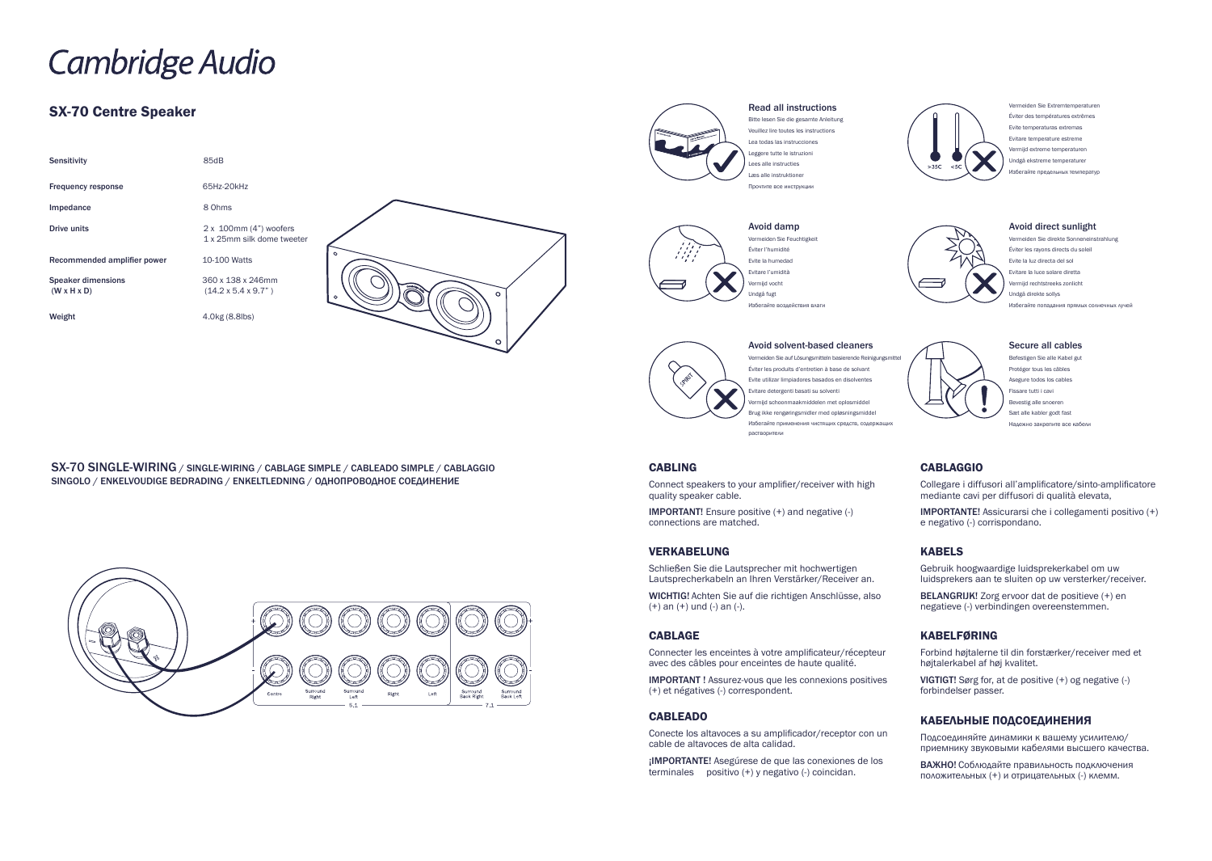SX-70 SINGLE-WIRING / SINGLE-WIRING / CABLAGE SIMPLE / CABLEADO SIMPLE / CABLAGGIO SINGOLO / ENKELVOUDIGE BEDRADING / ENKELTLEDNING / ОДНОПРОВОДНОЕ СОЕДИНЕНИЕ





# **Cambridge Audio**

# SX-70 Centre Speaker

| <b>Sensitivity</b>                                   | 85dB                                                 |          |
|------------------------------------------------------|------------------------------------------------------|----------|
| <b>Frequency response</b>                            | 65Hz-20kHz                                           |          |
| Impedance                                            | 8 Ohms                                               |          |
| <b>Drive units</b>                                   | 2 x 100mm (4") woofers<br>1 x 25mm silk dome tweeter |          |
| Recommended amplifier power                          | 10-100 Watts                                         | $\Omega$ |
| <b>Speaker dimensions</b><br>$(W \times H \times D)$ | 360 x 138 x 246mm<br>$(14.2 \times 5.4 \times 9.7)$  | $\circ$  |
| Weight                                               | 4.0kg (8.8lbs)                                       |          |



#### Read all instructions

Bitte lesen Sie die gesamte Anleitung Veuillez lire toutes les instructions Lea todas las instrucciones Leggere tutte le istruzioni Lees alle instructies Læs alle instruktioner Прочтите все инструкции



#### Vermeiden Sie Feuchtigkeit Éviter l'humidité Evite la humedad Evitare l'umidità ermijd vocht Undgå fugt Избегайте воздействия влаги

Vermeiden Sie Extremtemperaturen Éviter des températures extrêmes Evite temperaturas extremas Evitare temperature estreme Vermijd extreme temperaturen Undgå ekstreme temperaturer .<br>Избегайте предельных температур



# Avoid solvent-based cleaners Vermeiden Sie auf Lösungsmitteln basierende Reinigungsmittel Éviter les produits d'entretien à base de solvant

Evite utilizar limpiadores basados en disolventes Evitare detergenti basati su solventi Vermijd schoonmaakmiddelen met oplosmiddel Brug ikke rengøringsmidler med opløsningsmiddel Избегайте применения чистящих средств, содержащих растворители

#### Avoid direct sunlight

Vermeiden Sie direkte Sonneneinstrahlung Éviter les rayons directs du soleil Evite la luz directa del sol Evitare la luce solare diretta Vermijd rechtstreeks zonlicht Undgå direkte sollys Избегайте попадания прямых солнечных лучей



#### Secure all cables

Befestigen Sie alle Kabel gut Protéger tous les câbles Asegure todos los cables Fissare tutti i cavi Bevestig alle snoerer Sæt alle kabler godt fast Надежно закрепите все кабели

#### CABLING

Connect speakers to your amplifier/receiver with high quality speaker cable.

IMPORTANT! Ensure positive (+) and negative (-) connections are matched.

#### VERKABELUNG

Schließen Sie die Lautsprecher mit hochwertigen Lautsprecherkabeln an Ihren Verstärker/Receiver an.

WICHTIG! Achten Sie auf die richtigen Anschlüsse, also (+) an (+) und (-) an (-).

## CABLAGE

Connecter les enceintes à votre amplificateur/récepteur avec des câbles pour enceintes de haute qualité.

IMPORTANT ! Assurez-vous que les connexions positives (+) et négatives (-) correspondent.

#### CABLEADO

Conecte los altavoces a su amplificador/receptor con un cable de altavoces de alta calidad.

¡IMPORTANTE! Asegúrese de que las conexiones de los terminales positivo (+) y negativo (-) coincidan.



# CABLAGGIO

Collegare i diffusori all'amplificatore/sinto-amplificatore mediante cavi per diffusori di qualità elevata,

IMPORTANTE! Assicurarsi che i collegamenti positivo (+) e negativo (-) corrispondano.

#### KABELS

Gebruik hoogwaardige luidsprekerkabel om uw luidsprekers aan te sluiten op uw versterker/receiver.

BELANGRIJK! Zorg ervoor dat de positieve (+) en negatieve (-) verbindingen overeenstemmen.

## KABELFØRING

Forbind højtalerne til din forstærker/receiver med et højtalerkabel af høj kvalitet.

VIGTIGT! Sørg for, at de positive (+) og negative (-) forbindelser passer.

# КАБЕЛЬНЫЕ ПОДСОЕДИНЕНИЯ

Подсоединяйте динамики к вашему усилителю/ приемнику звуковыми кабелями высшего качества.

ВАЖНО! Соблюдайте правильность подключения положительных (+) и отрицательных (-) клемм.